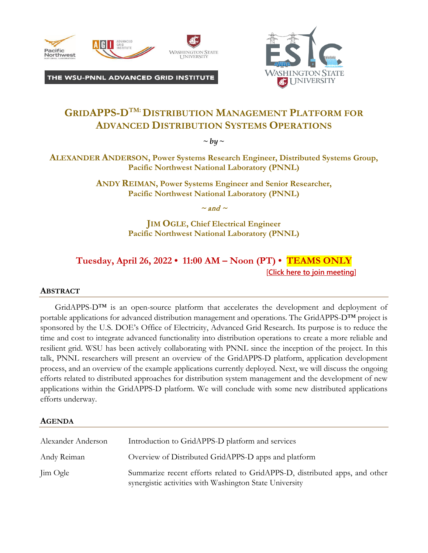

THE WSU-PNNL ADVANCED GRID INSTITUTE



## GRIDAPPS-D<sup>TM:</sup> DISTRIBUTION MANAGEMENT PLATFORM FOR **ADVANCED DISTRIBUTION SYSTEMS OPERATIONS**

 $\sim$  *by*  $\sim$ 

**ALEXANDER ANDERSON, Power Systems Research Engineer, Distributed Systems Group, Pacific Northwest National Laboratory (PNNL)**

> **ANDY REIMAN, Power Systems Engineer and Senior Researcher, Pacific Northwest National Laboratory (PNNL)**

> > $\sim$  and  $\sim$

**JIM OGLE, Chief Electrical Engineer Pacific Northwest National Laboratory (PNNL)** 

## **Tuesday, April 26, 2022 • 11:00 AM – Noon (PT) • TEAMS ONLY** [**[Click here to join meeting](https://urldefense.com/v3/__https:/teams.microsoft.com/l/meetup-join/19*3ameeting_ZGYyMzZlY2YtMDcwNi00NDc0LWE3NzktZmI4M2Q5NmQyMmJm*40thread.v2/0?context=*7b*22Tid*22*3a*22b52be471-f7f1-47b4-a879-0c799bb53db5*22*2c*22Oid*22*3a*22c65fa9b9-bc8f-49c6-9e93-7e1ec90b0d20*22*7d__;JSUlJSUlJSUlJSUlJSUl!!JmPEgBY0HMszNaDT!4Ww9naLKF8o6BD3Uqyhydcfxs3aBmB1nST_tW2zTUclFQv3owbEAZIhF6pX77TMG3Q6DAP4$)**]

## **ABSTRACT**

GridAPPS-D™ is an open-source platform that accelerates the development and deployment of portable applications for advanced distribution management and operations. The GridAPPS-D™ project is sponsored by the U.S. DOE's Office of Electricity, Advanced Grid Research. Its purpose is to reduce the time and cost to integrate advanced functionality into distribution operations to create a more reliable and resilient grid. WSU has been actively collaborating with PNNL since the inception of the project. In this talk, PNNL researchers will present an overview of the GridAPPS-D platform, application development process, and an overview of the example applications currently deployed. Next, we will discuss the ongoing efforts related to distributed approaches for distribution system management and the development of new applications within the GridAPPS-D platform. We will conclude with some new distributed applications efforts underway.

## **AGENDA**

| Alexander Anderson | Introduction to GridAPPS-D platform and services                                                                                       |
|--------------------|----------------------------------------------------------------------------------------------------------------------------------------|
| Andy Reiman        | Overview of Distributed GridAPPS-D apps and platform                                                                                   |
| Jim Ogle           | Summarize recent efforts related to GridAPPS-D, distributed apps, and other<br>synergistic activities with Washington State University |